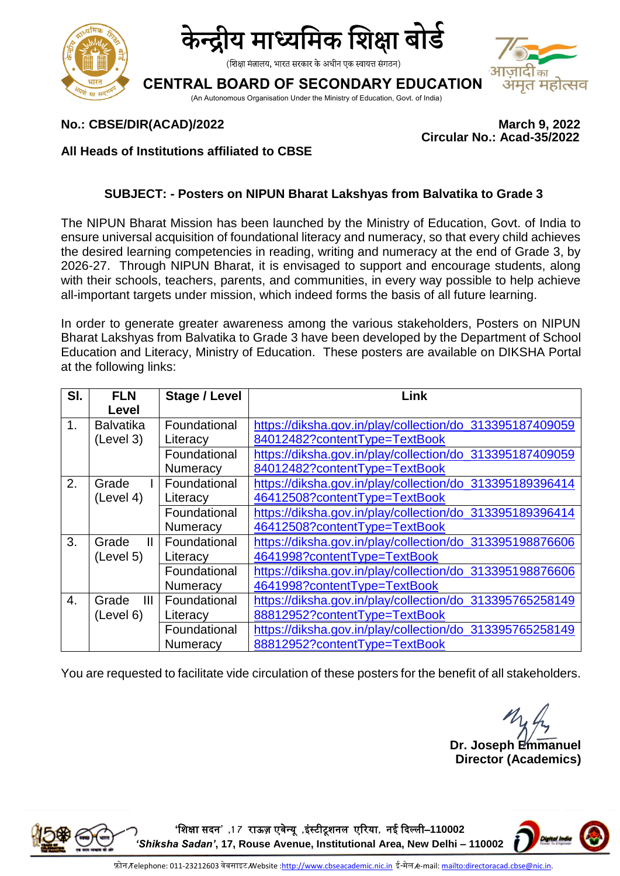



(शिक्षा मंत्रालय, भारत सरकार के अधीन एक स्वायत्त संगठन)

## **CENTRAL BOARD OF SECONDARY EDUCATION**

(An Autonomous Organisation Under the Ministry of Education, Govt. of India)



### **No.: CBSE/DIR(ACAD)/2022 March 9, 2022**

 **Circular No.: Acad-35/2022**

#### **All Heads of Institutions affiliated to CBSE**

#### **SUBJECT: - Posters on NIPUN Bharat Lakshyas from Balvatika to Grade 3**

The NIPUN Bharat Mission has been launched by the Ministry of Education, Govt. of India to ensure universal acquisition of foundational literacy and numeracy, so that every child achieves the desired learning competencies in reading, writing and numeracy at the end of Grade 3, by 2026-27. Through NIPUN Bharat, it is envisaged to support and encourage students, along with their schools, teachers, parents, and communities, in every way possible to help achieve all-important targets under mission, which indeed forms the basis of all future learning.

In order to generate greater awareness among the various stakeholders, Posters on NIPUN Bharat Lakshyas from Balvatika to Grade 3 have been developed by the Department of School Education and Literacy, Ministry of Education. These posters are available on DIKSHA Portal at the following links:

| SI.            | <b>FLN</b>            | Stage / Level   | Link                                                     |
|----------------|-----------------------|-----------------|----------------------------------------------------------|
|                | Level                 |                 |                                                          |
| 1 <sub>1</sub> | <b>Balvatika</b>      | Foundational    | https://diksha.gov.in/play/collection/do_313395187409059 |
|                | (Level 3)             | Literacy        | 84012482?contentType=TextBook                            |
|                |                       | Foundational    | https://diksha.gov.in/play/collection/do_313395187409059 |
|                |                       | Numeracy        | 84012482?contentType=TextBook                            |
| 2.             | Grade                 | Foundational    | https://diksha.gov.in/play/collection/do_313395189396414 |
|                | (Level 4)             | Literacy        | 46412508?contentType=TextBook                            |
|                |                       | Foundational    | https://diksha.gov.in/play/collection/do_313395189396414 |
|                |                       | Numeracy        | 46412508?contentType=TextBook                            |
| 3.             | Grade<br>$\mathbf{H}$ | Foundational    | https://diksha.gov.in/play/collection/do_313395198876606 |
|                | (Level 5)             | Literacy        | 4641998?contentType=TextBook                             |
|                |                       | Foundational    | https://diksha.gov.in/play/collection/do_313395198876606 |
|                |                       | Numeracy        | 4641998?contentType=TextBook                             |
| $\mathbf{4}$ . | III<br>Grade          | Foundational    | https://diksha.gov.in/play/collection/do_313395765258149 |
|                | (Level 6)             | Literacy        | 88812952?contentType=TextBook                            |
|                |                       | Foundational    | https://diksha.gov.in/play/collection/do_313395765258149 |
|                |                       | <b>Numeracy</b> | 88812952?contentType=TextBook                            |

You are requested to facilitate vide circulation of these posters for the benefit of all stakeholders.

**Dr. Joseph Emmanuel Director (Academics)**